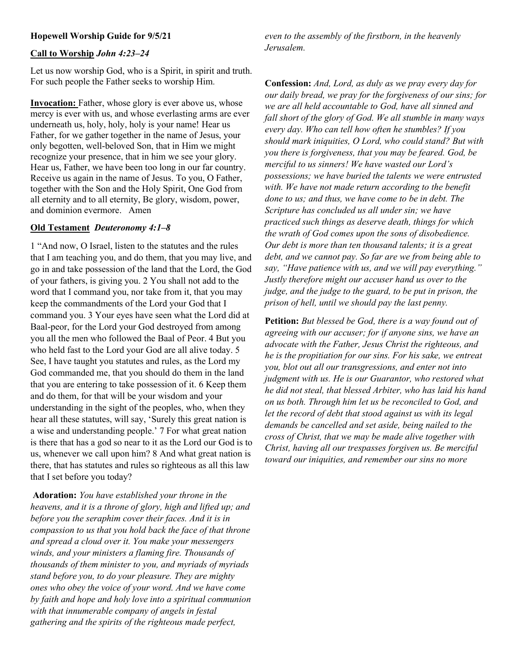# Call to Worship John 4:23–24

Let us now worship God, who is a Spirit, in spirit and truth. For such people the Father seeks to worship Him.

Invocation: Father, whose glory is ever above us, whose mercy is ever with us, and whose everlasting arms are ever underneath us, holy, holy, holy is your name! Hear us Father, for we gather together in the name of Jesus, your only begotten, well-beloved Son, that in Him we might recognize your presence, that in him we see your glory. Hear us, Father, we have been too long in our far country. Receive us again in the name of Jesus. To you, O Father, together with the Son and the Holy Spirit, One God from all eternity and to all eternity, Be glory, wisdom, power, and dominion evermore. Amen

#### Old Testament Deuteronomy 4:1–8

1 "And now, O Israel, listen to the statutes and the rules that I am teaching you, and do them, that you may live, and go in and take possession of the land that the Lord, the God of your fathers, is giving you. 2 You shall not add to the word that I command you, nor take from it, that you may keep the commandments of the Lord your God that I command you. 3 Your eyes have seen what the Lord did at Baal-peor, for the Lord your God destroyed from among you all the men who followed the Baal of Peor. 4 But you who held fast to the Lord your God are all alive today. 5 See, I have taught you statutes and rules, as the Lord my God commanded me, that you should do them in the land that you are entering to take possession of it. 6 Keep them and do them, for that will be your wisdom and your understanding in the sight of the peoples, who, when they hear all these statutes, will say, 'Surely this great nation is a wise and understanding people.' 7 For what great nation is there that has a god so near to it as the Lord our God is to us, whenever we call upon him? 8 And what great nation is there, that has statutes and rules so righteous as all this law that I set before you today?

Adoration: You have established your throne in the heavens, and it is a throne of glory, high and lifted up; and before you the seraphim cover their faces. And it is in compassion to us that you hold back the face of that throne and spread a cloud over it. You make your messengers winds, and your ministers a flaming fire. Thousands of thousands of them minister to you, and myriads of myriads stand before you, to do your pleasure. They are mighty ones who obey the voice of your word. And we have come by faith and hope and holy love into a spiritual communion with that innumerable company of angels in festal gathering and the spirits of the righteous made perfect,

even to the assembly of the firstborn, in the heavenly Jerusalem.

Confession: And, Lord, as duly as we pray every day for our daily bread, we pray for the forgiveness of our sins; for we are all held accountable to God, have all sinned and fall short of the glory of God. We all stumble in many ways every day. Who can tell how often he stumbles? If you should mark iniquities, O Lord, who could stand? But with you there is forgiveness, that you may be feared. God, be merciful to us sinners! We have wasted our Lord's possessions; we have buried the talents we were entrusted with. We have not made return according to the benefit done to us; and thus, we have come to be in debt. The Scripture has concluded us all under sin; we have practiced such things as deserve death, things for which the wrath of God comes upon the sons of disobedience. Our debt is more than ten thousand talents; it is a great debt, and we cannot pay. So far are we from being able to say, "Have patience with us, and we will pay everything." Justly therefore might our accuser hand us over to the judge, and the judge to the guard, to be put in prison, the prison of hell, until we should pay the last penny.

Petition: But blessed be God, there is a way found out of agreeing with our accuser; for if anyone sins, we have an advocate with the Father, Jesus Christ the righteous, and he is the propitiation for our sins. For his sake, we entreat you, blot out all our transgressions, and enter not into judgment with us. He is our Guarantor, who restored what he did not steal, that blessed Arbiter, who has laid his hand on us both. Through him let us be reconciled to God, and let the record of debt that stood against us with its legal demands be cancelled and set aside, being nailed to the cross of Christ, that we may be made alive together with Christ, having all our trespasses forgiven us. Be merciful toward our iniquities, and remember our sins no more